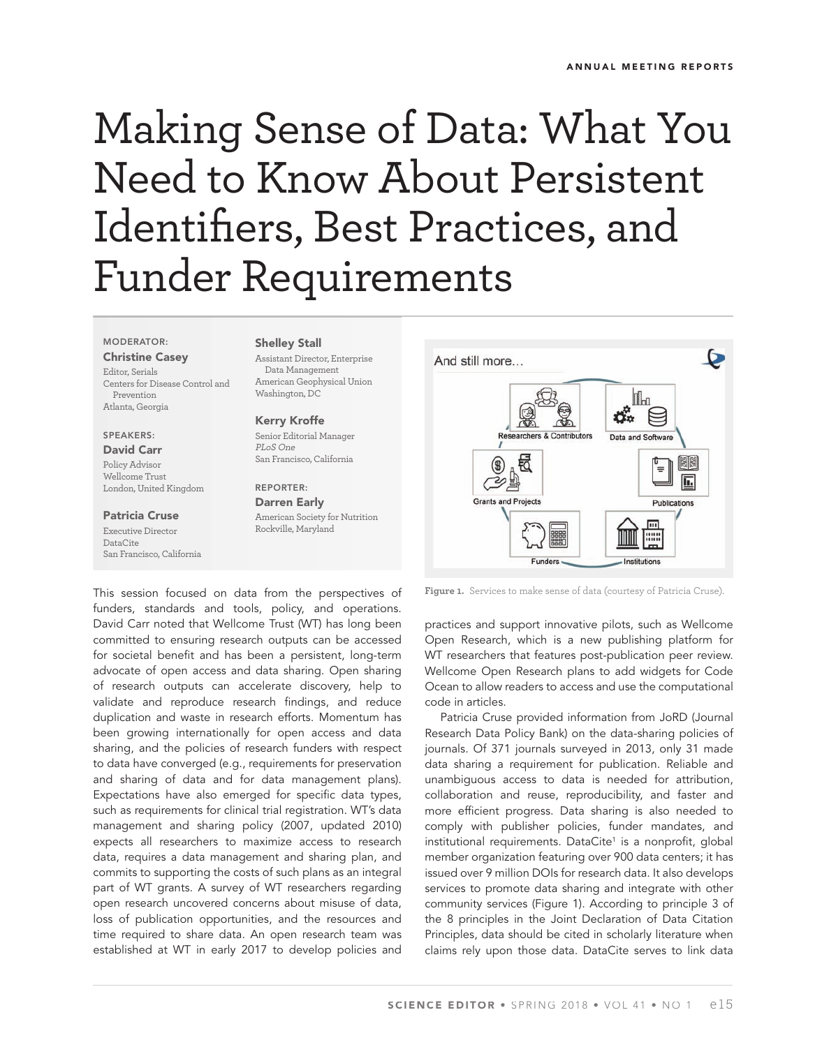# Making Sense of Data: What You Need to Know About Persistent Identifiers, Best Practices, and Funder Requirements

#### **MODERATOR:**

**Christine Casey** Editor, Serials Centers for Disease Control and Prevention Atlanta, Georgia

# **SPEAKERS:**

**David Carr** Policy Advisor Wellcome Trust London, United Kingdom

**Patricia Cruse**

Executive Director DataCite San Francisco, California

## **Shelley Stall**

Assistant Director, Enterprise Data Management American Geophysical Union Washington, DC

#### **Kerry Kroffe**

Senior Editorial Manager PLoS One San Francisco, California

#### **REPORTER: Darren Early** American Society for Nutrition Rockville, Maryland



This session focused on data from the perspectives of funders, standards and tools, policy, and operations. David Carr noted that Wellcome Trust (WT) has long been committed to ensuring research outputs can be accessed for societal benefit and has been a persistent, long-term advocate of open access and data sharing. Open sharing of research outputs can accelerate discovery, help to validate and reproduce research findings, and reduce duplication and waste in research efforts. Momentum has been growing internationally for open access and data sharing, and the policies of research funders with respect to data have converged (e.g., requirements for preservation and sharing of data and for data management plans). Expectations have also emerged for specific data types, such as requirements for clinical trial registration. WT's data management and sharing policy (2007, updated 2010) expects all researchers to maximize access to research data, requires a data management and sharing plan, and commits to supporting the costs of such plans as an integral part of WT grants. A survey of WT researchers regarding open research uncovered concerns about misuse of data, loss of publication opportunities, and the resources and time required to share data. An open research team was established at WT in early 2017 to develop policies and

**Figure 1.** Services to make sense of data (courtesy of Patricia Cruse).

practices and support innovative pilots, such as Wellcome Open Research, which is a new publishing platform for WT researchers that features post-publication peer review. Wellcome Open Research plans to add widgets for Code Ocean to allow readers to access and use the computational code in articles.

Patricia Cruse provided information from JoRD (Journal Research Data Policy Bank) on the data-sharing policies of journals. Of 371 journals surveyed in 2013, only 31 made data sharing a requirement for publication. Reliable and unambiguous access to data is needed for attribution, collaboration and reuse, reproducibility, and faster and more efficient progress. Data sharing is also needed to comply with publisher policies, funder mandates, and institutional requirements. DataCite<sup>1</sup> is a nonprofit, global member organization featuring over 900 data centers; it has issued over 9 million DOIs for research data. It also develops services to promote data sharing and integrate with other community services (Figure 1). According to principle 3 of the 8 principles in the Joint Declaration of Data Citation Principles, data should be cited in scholarly literature when claims rely upon those data. DataCite serves to link data